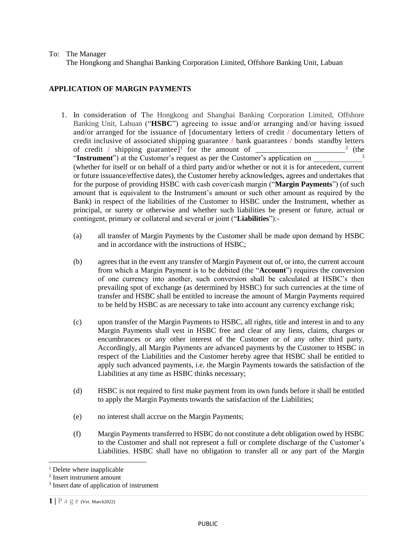## To: The Manager

The Hongkong and Shanghai Banking Corporation Limited, Offshore Banking Unit, Labuan

## **APPLICATION OF MARGIN PAYMENTS**

- 1. In consideration of The Hongkong and Shanghai Banking Corporation Limited, Offshore Banking Unit, Labuan ("**HSBC**") agreeing to issue and/or arranging and/or having issued and/or arranged for the issuance of [documentary letters of credit / documentary letters of credit inclusive of associated shipping guarantee / bank guarantees / bonds standby letters of credit / shipping guarantee]<sup>1</sup> for the amount of  $\frac{1}{\sqrt{1-\frac{1}{n}}}$  $\frac{2}{\pi}$  (the "Instrument") at the Customer's request as per the Customer's application on (whether for itself or on behalf of a third party and/or whether or not it is for antecedent, current or future issuance/effective dates), the Customer hereby acknowledges, agrees and undertakes that for the purpose of providing HSBC with cash cover/cash margin ("**Margin Payments**") (of such amount that is equivalent to the Instrument's amount or such other amount as required by the Bank) in respect of the liabilities of the Customer to HSBC under the Instrument, whether as principal, or surety or otherwise and whether such liabilities be present or future, actual or contingent, primary or collateral and several or joint ("**Liabilities**"):-
	- (a) all transfer of Margin Payments by the Customer shall be made upon demand by HSBC and in accordance with the instructions of HSBC;
	- (b) agrees that in the event any transfer of Margin Payment out of, or into, the current account from which a Margin Payment is to be debited (the "**Account**") requires the conversion of one currency into another, such conversion shall be calculated at HSBC's then prevailing spot of exchange (as determined by HSBC) for such currencies at the time of transfer and HSBC shall be entitled to increase the amount of Margin Payments required to be held by HSBC as are necessary to take into account any currency exchange risk;
	- (c) upon transfer of the Margin Payments to HSBC, all rights, title and interest in and to any Margin Payments shall vest in HSBC free and clear of any liens, claims, charges or encumbrances or any other interest of the Customer or of any other third party. Accordingly, all Margin Payments are advanced payments by the Customer to HSBC in respect of the Liabilities and the Customer hereby agree that HSBC shall be entitled to apply such advanced payments, i.e. the Margin Payments towards the satisfaction of the Liabilities at any time as HSBC thinks necessary;
	- (d) HSBC is not required to first make payment from its own funds before it shall be entitled to apply the Margin Payments towards the satisfaction of the Liabilities;
	- (e) no interest shall accrue on the Margin Payments;
	- (f) Margin Payments transferred to HSBC do not constitute a debt obligation owed by HSBC to the Customer and shall not represent a full or complete discharge of the Customer's Liabilities. HSBC shall have no obligation to transfer all or any part of the Margin

l

<sup>&</sup>lt;sup>1</sup> Delete where inapplicable

<sup>2</sup> Insert instrument amount

<sup>&</sup>lt;sup>3</sup> Insert date of application of instrument

**<sup>1</sup>** | **P** a g e (Ver. March2022)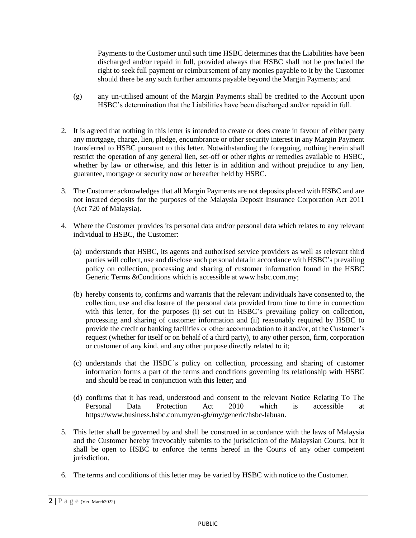Payments to the Customer until such time HSBC determines that the Liabilities have been discharged and/or repaid in full, provided always that HSBC shall not be precluded the right to seek full payment or reimbursement of any monies payable to it by the Customer should there be any such further amounts payable beyond the Margin Payments; and

- (g) any un-utilised amount of the Margin Payments shall be credited to the Account upon HSBC's determination that the Liabilities have been discharged and/or repaid in full.
- 2. It is agreed that nothing in this letter is intended to create or does create in favour of either party any mortgage, charge, lien, pledge, encumbrance or other security interest in any Margin Payment transferred to HSBC pursuant to this letter. Notwithstanding the foregoing, nothing herein shall restrict the operation of any general lien, set-off or other rights or remedies available to HSBC, whether by law or otherwise, and this letter is in addition and without prejudice to any lien, guarantee, mortgage or security now or hereafter held by HSBC.
- 3. The Customer acknowledges that all Margin Payments are not deposits placed with HSBC and are not insured deposits for the purposes of the Malaysia Deposit Insurance Corporation Act 2011 (Act 720 of Malaysia).
- 4. Where the Customer provides its personal data and/or personal data which relates to any relevant individual to HSBC, the Customer:
	- (a) understands that HSBC, its agents and authorised service providers as well as relevant third parties will collect, use and disclose such personal data in accordance with HSBC's prevailing policy on collection, processing and sharing of customer information found in the HSBC Generic Terms & Conditions which is accessible at [www.hsbc.com.my;](http://www.hsbc.com.sg/)
	- (b) hereby consents to, confirms and warrants that the relevant individuals have consented to, the collection, use and disclosure of the personal data provided from time to time in connection with this letter, for the purposes (i) set out in HSBC's prevailing policy on collection, processing and sharing of customer information and (ii) reasonably required by HSBC to provide the credit or banking facilities or other accommodation to it and/or, at the Customer's request (whether for itself or on behalf of a third party), to any other person, firm, corporation or customer of any kind, and any other purpose directly related to it;
	- (c) understands that the HSBC's policy on collection, processing and sharing of customer information forms a part of the terms and conditions governing its relationship with HSBC and should be read in conjunction with this letter; and
	- (d) confirms that it has read, understood and consent to the relevant Notice Relating To The Personal Data Protection Act 2010 which is accessible at https://www.business.hsbc.com.my/en-gb/my/generic/hsbc-labuan.
- 5. This letter shall be governed by and shall be construed in accordance with the laws of Malaysia and the Customer hereby irrevocably submits to the jurisdiction of the Malaysian Courts, but it shall be open to HSBC to enforce the terms hereof in the Courts of any other competent jurisdiction.
- 6. The terms and conditions of this letter may be varied by HSBC with notice to the Customer.